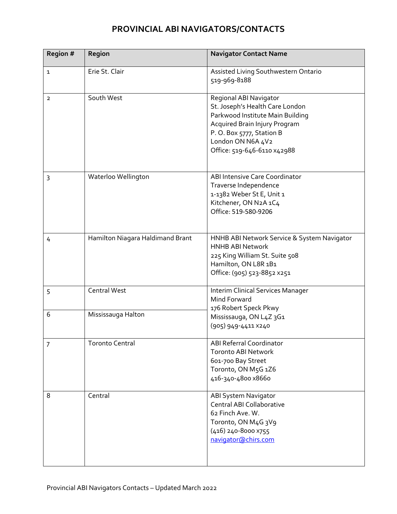## **PROVINCIAL ABI NAVIGATORS/CONTACTS**

| Region #       | Region                           | <b>Navigator Contact Name</b>                                                                                                                                                                                  |
|----------------|----------------------------------|----------------------------------------------------------------------------------------------------------------------------------------------------------------------------------------------------------------|
| $\mathbf{1}$   | Erie St. Clair                   | Assisted Living Southwestern Ontario<br>519-969-8188                                                                                                                                                           |
| $\overline{2}$ | South West                       | Regional ABI Navigator<br>St. Joseph's Health Care London<br>Parkwood Institute Main Building<br>Acquired Brain Injury Program<br>P.O. Box 5777, Station B<br>London ON N6A 4V2<br>Office: 519-646-6110 x42988 |
| 3              | Waterloo Wellington              | ABI Intensive Care Coordinator<br>Traverse Independence<br>1-1382 Weber St E, Unit 1<br>Kitchener, ON N2A 1C4<br>Office: 519-580-9206                                                                          |
| 4              | Hamilton Niagara Haldimand Brant | HNHB ABI Network Service & System Navigator<br><b>HNHB ABI Network</b><br>225 King William St. Suite 508<br>Hamilton, ON L8R 1B1<br>Office: (905) 523-8852 x251                                                |
| 5              | <b>Central West</b>              | Interim Clinical Services Manager<br>Mind Forward<br>176 Robert Speck Pkwy                                                                                                                                     |
| 6              | Mississauga Halton               | Mississauga, ON L4Z 3G1<br>(905) 949-4411 ×240                                                                                                                                                                 |
| 7              | <b>Toronto Central</b>           | <b>ABI Referral Coordinator</b><br><b>Toronto ABI Network</b><br>601-700 Bay Street<br>Toronto, ON M5G 1Z6<br>416-340-4800 x8660                                                                               |
| 8              | Central                          | ABI System Navigator<br>Central ABI Collaborative<br>62 Finch Ave. W.<br>Toronto, ON M4G 3V9<br>(416) 240-8000 x755<br>navigator@chirs.com                                                                     |